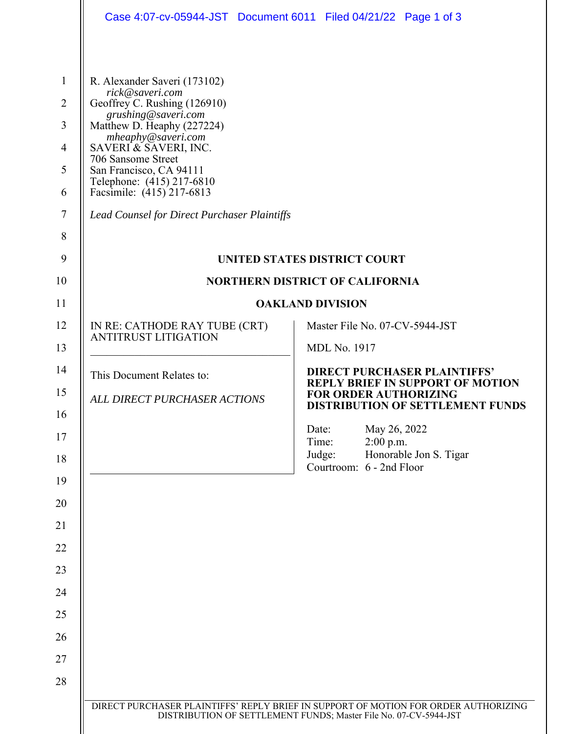| Case 4:07-cv-05944-JST Document 6011 Filed 04/21/22 Page 1 of 3                                                                                                                                                                                                                                                                                       |                                                                                                                    |
|-------------------------------------------------------------------------------------------------------------------------------------------------------------------------------------------------------------------------------------------------------------------------------------------------------------------------------------------------------|--------------------------------------------------------------------------------------------------------------------|
| R. Alexander Saveri (173102)<br>rick@saveri.com<br>Geoffrey C. Rushing (126910)<br>grushing@saveri.com<br>Matthew D. Heaphy (227224)<br>mheaphy@saveri.com<br>SAVERI & SAVERI, INC.<br>706 Sansome Street<br>San Francisco, CA 94111<br>Telephone: (415) 217-6810<br>Facsimile: (415) 217-6813<br><b>Lead Counsel for Direct Purchaser Plaintiffs</b> |                                                                                                                    |
| <b>UNITED STATES DISTRICT COURT</b>                                                                                                                                                                                                                                                                                                                   |                                                                                                                    |
| <b>NORTHERN DISTRICT OF CALIFORNIA</b>                                                                                                                                                                                                                                                                                                                |                                                                                                                    |
|                                                                                                                                                                                                                                                                                                                                                       | <b>OAKLAND DIVISION</b>                                                                                            |
| IN RE: CATHODE RAY TUBE (CRT)<br><b>ANTITRUST LITIGATION</b>                                                                                                                                                                                                                                                                                          | Master File No. 07-CV-5944-JST<br><b>MDL No. 1917</b>                                                              |
|                                                                                                                                                                                                                                                                                                                                                       | <b>DIRECT PURCHASER PLAINTIFFS'</b>                                                                                |
| This Document Relates to:                                                                                                                                                                                                                                                                                                                             | <b>REPLY BRIEF IN SUPPORT OF MOTION</b><br><b>FOR ORDER AUTHORIZING</b><br><b>DISTRIBUTION OF SETTLEMENT FUNDS</b> |
| ALL DIRECT PURCHASER ACTIONS                                                                                                                                                                                                                                                                                                                          |                                                                                                                    |
|                                                                                                                                                                                                                                                                                                                                                       | May 26, 2022<br>Date:<br>Time:<br>$2:00$ p.m.                                                                      |
|                                                                                                                                                                                                                                                                                                                                                       | Judge:<br>Honorable Jon S. Tigar<br>Courtroom: 6 - 2nd Floor                                                       |
|                                                                                                                                                                                                                                                                                                                                                       |                                                                                                                    |
|                                                                                                                                                                                                                                                                                                                                                       |                                                                                                                    |
|                                                                                                                                                                                                                                                                                                                                                       |                                                                                                                    |
|                                                                                                                                                                                                                                                                                                                                                       |                                                                                                                    |
|                                                                                                                                                                                                                                                                                                                                                       |                                                                                                                    |
|                                                                                                                                                                                                                                                                                                                                                       |                                                                                                                    |
|                                                                                                                                                                                                                                                                                                                                                       |                                                                                                                    |
|                                                                                                                                                                                                                                                                                                                                                       |                                                                                                                    |
|                                                                                                                                                                                                                                                                                                                                                       |                                                                                                                    |
|                                                                                                                                                                                                                                                                                                                                                       |                                                                                                                    |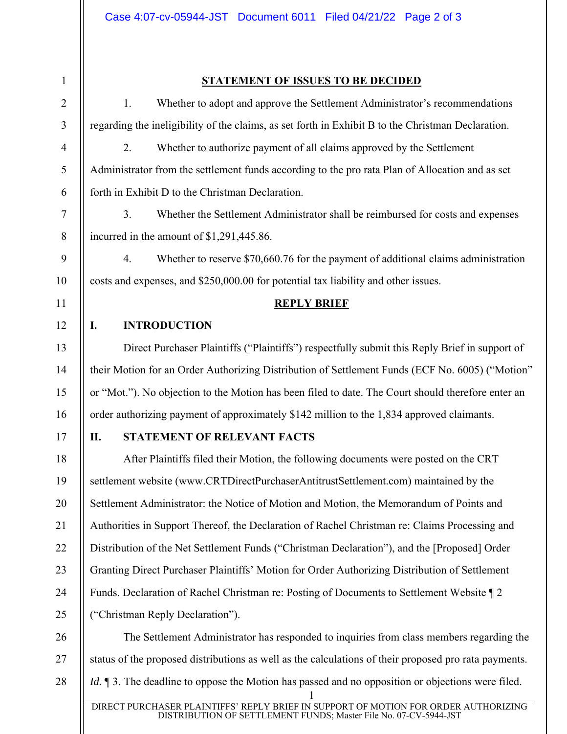1 2 3 4 5 6 7 8 9 10 11 12 13 14 15 16 17 18 19 20 21 22 23 24 25 26 27 28 **STATEMENT OF ISSUES TO BE DECIDED** 1. Whether to adopt and approve the Settlement Administrator's recommendations regarding the ineligibility of the claims, as set forth in Exhibit B to the Christman Declaration. 2. Whether to authorize payment of all claims approved by the Settlement Administrator from the settlement funds according to the pro rata Plan of Allocation and as set forth in Exhibit D to the Christman Declaration. 3. Whether the Settlement Administrator shall be reimbursed for costs and expenses incurred in the amount of \$1,291,445.86. 4. Whether to reserve \$70,660.76 for the payment of additional claims administration costs and expenses, and \$250,000.00 for potential tax liability and other issues. **REPLY BRIEF I. INTRODUCTION**  Direct Purchaser Plaintiffs ("Plaintiffs") respectfully submit this Reply Brief in support of their Motion for an Order Authorizing Distribution of Settlement Funds (ECF No. 6005) ("Motion" or "Mot."). No objection to the Motion has been filed to date. The Court should therefore enter an order authorizing payment of approximately \$142 million to the 1,834 approved claimants. **II. STATEMENT OF RELEVANT FACTS**  After Plaintiffs filed their Motion, the following documents were posted on the CRT settlement website (www.CRTDirectPurchaserAntitrustSettlement.com) maintained by the Settlement Administrator: the Notice of Motion and Motion, the Memorandum of Points and Authorities in Support Thereof, the Declaration of Rachel Christman re: Claims Processing and Distribution of the Net Settlement Funds ("Christman Declaration"), and the [Proposed] Order Granting Direct Purchaser Plaintiffs' Motion for Order Authorizing Distribution of Settlement Funds. Declaration of Rachel Christman re: Posting of Documents to Settlement Website ¶ 2 ("Christman Reply Declaration"). The Settlement Administrator has responded to inquiries from class members regarding the status of the proposed distributions as well as the calculations of their proposed pro rata payments. *Id.*  $\parallel$  3. The deadline to oppose the Motion has passed and no opposition or objections were filed.